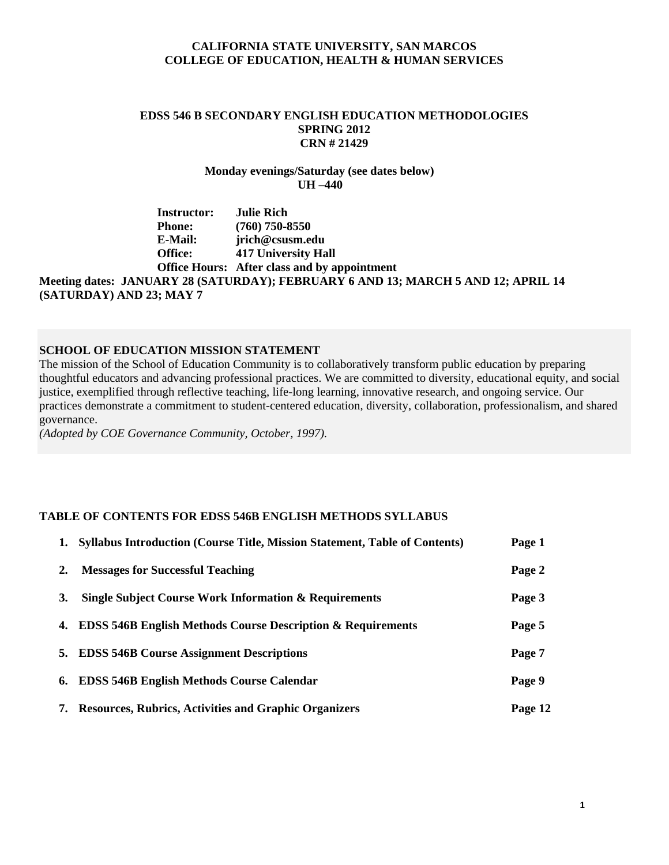#### **CALIFORNIA STATE UNIVERSITY, SAN MARCOS COLLEGE OF EDUCATION, HEALTH & HUMAN SERVICES**

## **EDSS 546 B SECONDARY ENGLISH EDUCATION METHODOLOGIES SPRING 2012 CRN # 21429**

**Monday evenings/Saturday (see dates below) UH –440**

#### Office: **Instructor: Julie Rich Phone: (760) 750-8550 E-Mail: jrich@csusm.edu 417 University Hall Office Hours: After class and by appointment Meeting dates: JANUARY 28 (SATURDAY); FEBRUARY 6 AND 13; MARCH 5 AND 12; APRIL 14 (SATURDAY) AND 23; MAY 7**

#### **SCHOOL OF EDUCATION MISSION STATEMENT**

 governance. The mission of the School of Education Community is to collaboratively transform public education by preparing thoughtful educators and advancing professional practices. We are committed to diversity, educational equity, and social justice, exemplified through reflective teaching, life-long learning, innovative research, and ongoing service. Our practices demonstrate a commitment to student-centered education, diversity, collaboration, professionalism, and shared

*(Adopted by COE Governance Community, October, 1997).* 

#### **TABLE OF CONTENTS FOR EDSS 546B ENGLISH METHODS SYLLABUS**

|           | 1. Syllabus Introduction (Course Title, Mission Statement, Table of Contents) | Page 1  |
|-----------|-------------------------------------------------------------------------------|---------|
| 2.        | <b>Messages for Successful Teaching</b>                                       | Page 2  |
| <b>3.</b> | <b>Single Subject Course Work Information &amp; Requirements</b>              | Page 3  |
|           | 4. EDSS 546B English Methods Course Description & Requirements                | Page 5  |
|           | 5. EDSS 546B Course Assignment Descriptions                                   | Page 7  |
|           | 6. EDSS 546B English Methods Course Calendar                                  | Page 9  |
|           | 7. Resources, Rubrics, Activities and Graphic Organizers                      | Page 12 |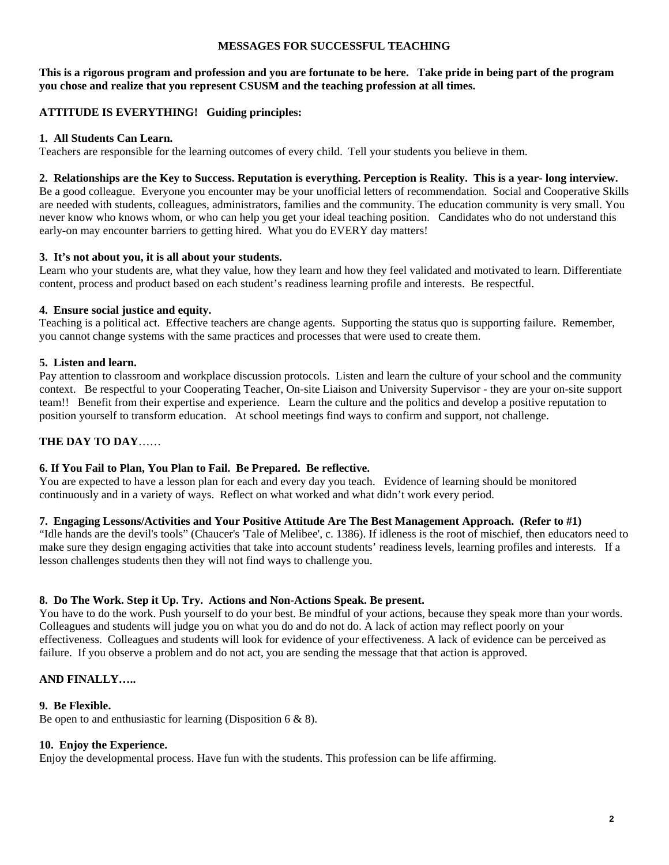### **MESSAGES FOR SUCCESSFUL TEACHING**

**This is a rigorous program and profession and you are fortunate to be here. Take pride in being part of the program you chose and realize that you represent CSUSM and the teaching profession at all times.** 

## **ATTITUDE IS EVERYTHING! Guiding principles:**

## **1. All Students Can Learn.**

Teachers are responsible for the learning outcomes of every child. Tell your students you believe in them.

 Be a good colleague. Everyone you encounter may be your unofficial letters of recommendation. Social and Cooperative Skills **2. Relationships are the Key to Success. Reputation is everything. Perception is Reality. This is a year- long interview.**  are needed with students, colleagues, administrators, families and the community. The education community is very small. You never know who knows whom, or who can help you get your ideal teaching position. Candidates who do not understand this early-on may encounter barriers to getting hired. What you do EVERY day matters!

#### **3. It's not about you, it is all about your students.**

Learn who your students are, what they value, how they learn and how they feel validated and motivated to learn. Differentiate content, process and product based on each student's readiness learning profile and interests. Be respectful.

#### **4. Ensure social justice and equity.**

 you cannot change systems with the same practices and processes that were used to create them. Teaching is a political act. Effective teachers are change agents. Supporting the status quo is supporting failure. Remember,

#### **5. Listen and learn.**

 Pay attention to classroom and workplace discussion protocols. Listen and learn the culture of your school and the community context. Be respectful to your Cooperating Teacher, On-site Liaison and University Supervisor - they are your on-site support team!! Benefit from their expertise and experience. Learn the culture and the politics and develop a positive reputation to position yourself to transform education. At school meetings find ways to confirm and support, not challenge.

## **THE DAY TO DAY**……

## **6. If You Fail to Plan, You Plan to Fail. Be Prepared. Be reflective.**

You are expected to have a lesson plan for each and every day you teach. Evidence of learning should be monitored continuously and in a variety of ways. Reflect on what worked and what didn't work every period.

#### **7. Engaging Lessons/Activities and Your Positive Attitude Are The Best Management Approach. (Refer to #1)**

"Idle hands are the devil's tools" (Chaucer's 'Tale of Melibee', c. 1386). If idleness is the root of mischief, then educators need to make sure they design engaging activities that take into account students' readiness levels, learning profiles and interests. If a lesson challenges students then they will not find ways to challenge you.

## **8. Do The Work. Step it Up. Try. Actions and Non-Actions Speak. Be present.**

You have to do the work. Push yourself to do your best. Be mindful of your actions, because they speak more than your words. Colleagues and students will judge you on what you do and do not do. A lack of action may reflect poorly on your effectiveness. Colleagues and students will look for evidence of your effectiveness. A lack of evidence can be perceived as failure. If you observe a problem and do not act, you are sending the message that that action is approved.

## **AND FINALLY…..**

#### **9. Be Flexible.**

Be open to and enthusiastic for learning (Disposition 6 & 8).

#### **10. Enjoy the Experience.**

Enjoy the developmental process. Have fun with the students. This profession can be life affirming.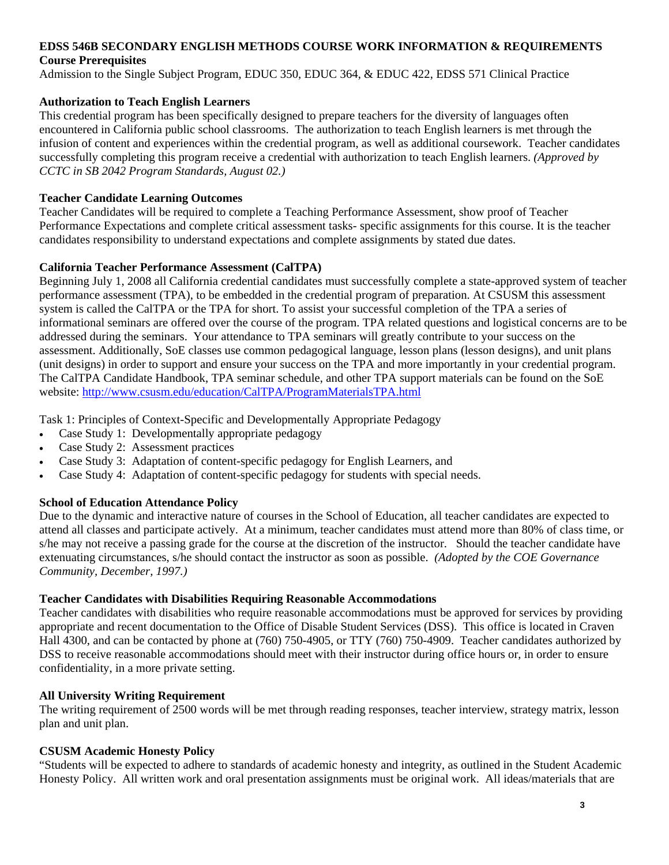## **EDSS 546B SECONDARY ENGLISH METHODS COURSE WORK INFORMATION & REQUIREMENTS Course Prerequisites**

Admission to the Single Subject Program, EDUC 350, EDUC 364, & EDUC 422, EDSS 571 Clinical Practice

## **Authorization to Teach English Learners**

This credential program has been specifically designed to prepare teachers for the diversity of languages often encountered in California public school classrooms. The authorization to teach English learners is met through the infusion of content and experiences within the credential program, as well as additional coursework. Teacher candidates successfully completing this program receive a credential with authorization to teach English learners. *(Approved by CCTC in SB 2042 Program Standards, August 02.)* 

## **Teacher Candidate Learning Outcomes**

Teacher Candidates will be required to complete a Teaching Performance Assessment, show proof of Teacher Performance Expectations and complete critical assessment tasks- specific assignments for this course. It is the teacher candidates responsibility to understand expectations and complete assignments by stated due dates.

## **California Teacher Performance Assessment (CalTPA)**

website: http://www.csusm.edu/education/CalTPA/ProgramMaterialsTPA.html Beginning July 1, 2008 all California credential candidates must successfully complete a state-approved system of teacher performance assessment (TPA), to be embedded in the credential program of preparation. At CSUSM this assessment system is called the CalTPA or the TPA for short. To assist your successful completion of the TPA a series of informational seminars are offered over the course of the program. TPA related questions and logistical concerns are to be addressed during the seminars. Your attendance to TPA seminars will greatly contribute to your success on the assessment. Additionally, SoE classes use common pedagogical language, lesson plans (lesson designs), and unit plans (unit designs) in order to support and ensure your success on the TPA and more importantly in your credential program. The CalTPA Candidate Handbook, TPA seminar schedule, and other TPA support materials can be found on the SoE

Task 1: Principles of Context-Specific and Developmentally Appropriate Pedagogy

- Case Study 1: Developmentally appropriate pedagogy
- Case Study 2: Assessment practices
- Case Study 3: Adaptation of content-specific pedagogy for English Learners, and
- Case Study 4: Adaptation of content-specific pedagogy for students with special needs.

## **School of Education Attendance Policy**

 *Community, December, 1997.)* Due to the dynamic and interactive nature of courses in the School of Education, all teacher candidates are expected to attend all classes and participate actively. At a minimum, teacher candidates must attend more than 80% of class time, or s/he may not receive a passing grade for the course at the discretion of the instructor. Should the teacher candidate have extenuating circumstances, s/he should contact the instructor as soon as possible. *(Adopted by the COE Governance* 

## **Teacher Candidates with Disabilities Requiring Reasonable Accommodations**

Teacher candidates with disabilities who require reasonable accommodations must be approved for services by providing appropriate and recent documentation to the Office of Disable Student Services (DSS). This office is located in Craven Hall 4300, and can be contacted by phone at (760) 750-4905, or TTY (760) 750-4909. Teacher candidates authorized by DSS to receive reasonable accommodations should meet with their instructor during office hours or, in order to ensure confidentiality, in a more private setting.

## **All University Writing Requirement**

The writing requirement of 2500 words will be met through reading responses, teacher interview, strategy matrix, lesson plan and unit plan.

## **CSUSM Academic Honesty Policy**

"Students will be expected to adhere to standards of academic honesty and integrity, as outlined in the Student Academic Honesty Policy. All written work and oral presentation assignments must be original work. All ideas/materials that are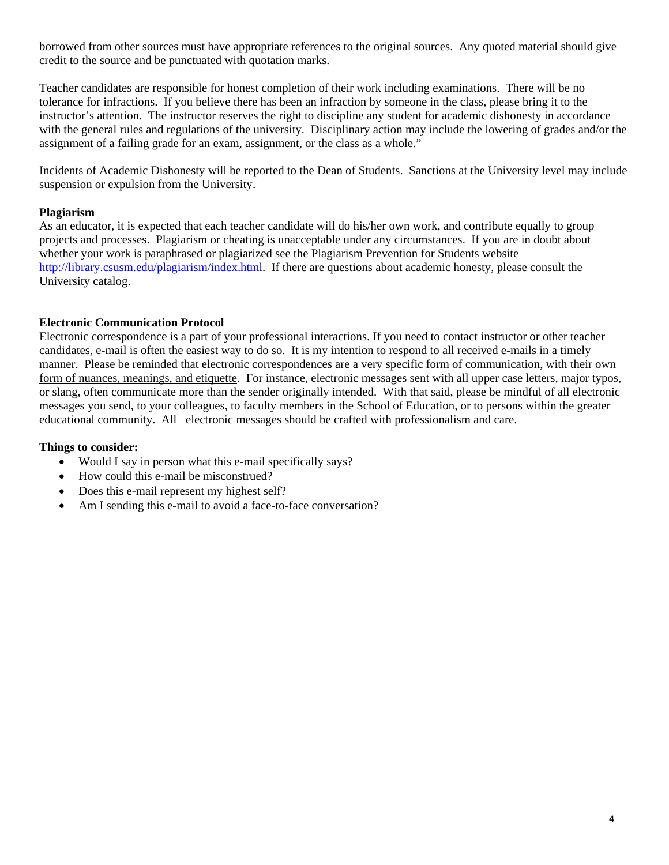borrowed from other sources must have appropriate references to the original sources. Any quoted material should give credit to the source and be punctuated with quotation marks.

Teacher candidates are responsible for honest completion of their work including examinations. There will be no tolerance for infractions. If you believe there has been an infraction by someone in the class, please bring it to the instructor's attention. The instructor reserves the right to discipline any student for academic dishonesty in accordance with the general rules and regulations of the university. Disciplinary action may include the lowering of grades and/or the assignment of a failing grade for an exam, assignment, or the class as a whole."

Incidents of Academic Dishonesty will be reported to the Dean of Students. Sanctions at the University level may include suspension or expulsion from the University.

## **Plagiarism**

As an educator, it is expected that each teacher candidate will do his/her own work, and contribute equally to group projects and processes. Plagiarism or cheating is unacceptable under any circumstances. If you are in doubt about whether your work is paraphrased or plagiarized see the Plagiarism Prevention for Students website http://library.csusm.edu/plagiarism/index.html. If there are questions about academic honesty, please consult the University catalog.

#### **Electronic Communication Protocol**

Electronic correspondence is a part of your professional interactions. If you need to contact instructor or other teacher candidates, e-mail is often the easiest way to do so. It is my intention to respond to all received e-mails in a timely manner. Please be reminded that electronic correspondences are a very specific form of communication, with their own form of nuances, meanings, and etiquette. For instance, electronic messages sent with all upper case letters, major typos, or slang, often communicate more than the sender originally intended. With that said, please be mindful of all electronic messages you send, to your colleagues, to faculty members in the School of Education, or to persons within the greater educational community. All electronic messages should be crafted with professionalism and care.

#### **Things to consider:**

- Would I say in person what this e-mail specifically says?
- How could this e-mail be misconstrued?
- Does this e-mail represent my highest self?
- Am I sending this e-mail to avoid a face-to-face conversation?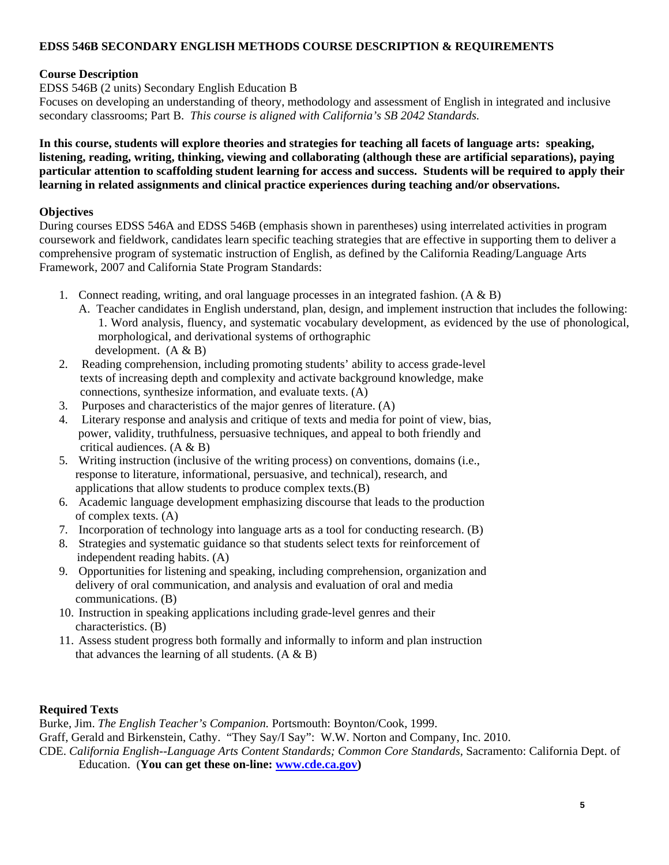## **EDSS 546B SECONDARY ENGLISH METHODS COURSE DESCRIPTION & REQUIREMENTS**

## **Course Description**

EDSS 546B (2 units) Secondary English Education B

Focuses on developing an understanding of theory, methodology and assessment of English in integrated and inclusive secondary classrooms; Part B. *This course is aligned with California's SB 2042 Standards.* 

**In this course, students will explore theories and strategies for teaching all facets of language arts: speaking, listening, reading, writing, thinking, viewing and collaborating (although these are artificial separations), paying particular attention to scaffolding student learning for access and success. Students will be required to apply their learning in related assignments and clinical practice experiences during teaching and/or observations.** 

## **Objectives**

During courses EDSS 546A and EDSS 546B (emphasis shown in parentheses) using interrelated activities in program coursework and fieldwork, candidates learn specific teaching strategies that are effective in supporting them to deliver a comprehensive program of systematic instruction of English, as defined by the California Reading/Language Arts Framework, 2007 and California State Program Standards:

- 1. Connect reading, writing, and oral language processes in an integrated fashion.  $(A \& B)$ 
	- A. Teacher candidates in English understand, plan, design, and implement instruction that includes the following: 1. Word analysis, fluency, and systematic vocabulary development, as evidenced by the use of phonological, morphological, and derivational systems of orthographic development.  $(A & B)$
- 2. Reading comprehension, including promoting students' ability to access grade-level texts of increasing depth and complexity and activate background knowledge, make connections, synthesize information, and evaluate texts. (A)
- 3. Purposes and characteristics of the major genres of literature. (A)
- 4. Literary response and analysis and critique of texts and media for point of view, bias, power, validity, truthfulness, persuasive techniques, and appeal to both friendly and critical audiences. (A & B)
- 5. Writing instruction (inclusive of the writing process) on conventions, domains (i.e., response to literature, informational, persuasive, and technical), research, and applications that allow students to produce complex texts.(B)
- 6. Academic language development emphasizing discourse that leads to the production of complex texts. (A)
- 7. Incorporation of technology into language arts as a tool for conducting research. (B)
- 8. Strategies and systematic guidance so that students select texts for reinforcement of independent reading habits. (A)
- 9. Opportunities for listening and speaking, including comprehension, organization and delivery of oral communication, and analysis and evaluation of oral and media communications. (B)
- 10. Instruction in speaking applications including grade-level genres and their characteristics. (B)
- 11. Assess student progress both formally and informally to inform and plan instruction that advances the learning of all students.  $(A \& B)$

## **Required Texts**

Burke, Jim. *The English Teacher's Companion.* Portsmouth: Boynton/Cook, 1999.

Graff, Gerald and Birkenstein, Cathy. "They Say/I Say": W.W. Norton and Company, Inc. 2010.

CDE. *California English--Language Arts Content Standards; Common Core Standards,* Sacramento: California Dept. of Education. (**You can get these on-line: www.cde.ca.gov)**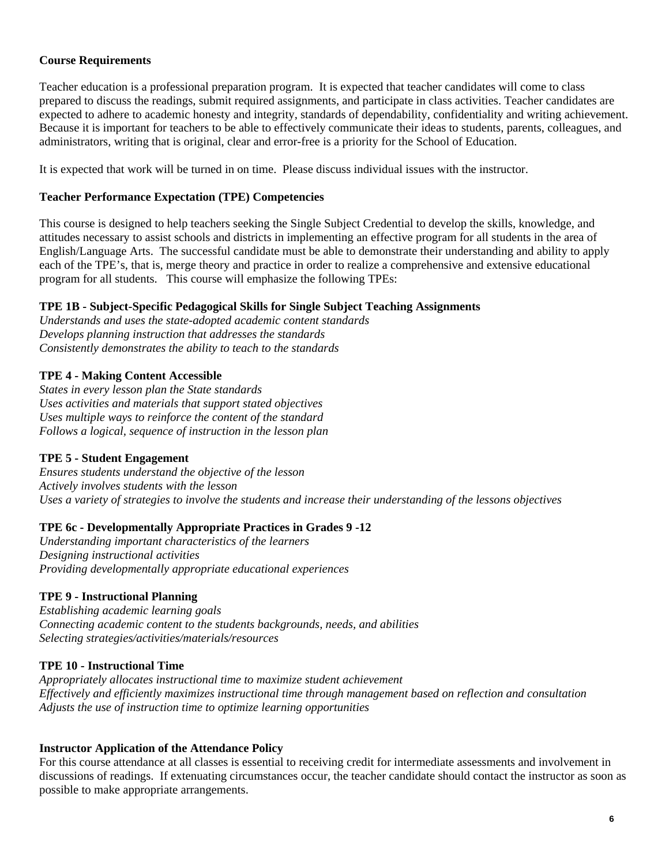## **Course Requirements**

Teacher education is a professional preparation program. It is expected that teacher candidates will come to class prepared to discuss the readings, submit required assignments, and participate in class activities. Teacher candidates are expected to adhere to academic honesty and integrity, standards of dependability, confidentiality and writing achievement. Because it is important for teachers to be able to effectively communicate their ideas to students, parents, colleagues, and administrators, writing that is original, clear and error-free is a priority for the School of Education.

It is expected that work will be turned in on time. Please discuss individual issues with the instructor.

## **Teacher Performance Expectation (TPE) Competencies**

This course is designed to help teachers seeking the Single Subject Credential to develop the skills, knowledge, and attitudes necessary to assist schools and districts in implementing an effective program for all students in the area of English/Language Arts. The successful candidate must be able to demonstrate their understanding and ability to apply each of the TPE's, that is, merge theory and practice in order to realize a comprehensive and extensive educational program for all students. This course will emphasize the following TPEs:

## **TPE 1B - Subject-Specific Pedagogical Skills for Single Subject Teaching Assignments**

*Understands and uses the state-adopted academic content standards Develops planning instruction that addresses the standards Consistently demonstrates the ability to teach to the standards* 

## **TPE 4 - Making Content Accessible**

*States in every lesson plan the State standards Uses activities and materials that support stated objectives Uses multiple ways to reinforce the content of the standard Follows a logical, sequence of instruction in the lesson plan* 

## **TPE 5 - Student Engagement**

*Ensures students understand the objective of the lesson Actively involves students with the lesson Uses a variety of strategies to involve the students and increase their understanding of the lessons objectives* 

## **TPE 6c - Developmentally Appropriate Practices in Grades 9 -12**

*Understanding important characteristics of the learners Designing instructional activities Providing developmentally appropriate educational experiences* 

## **TPE 9 - Instructional Planning**

*Establishing academic learning goals Connecting academic content to the students backgrounds, needs, and abilities Selecting strategies/activities/materials/resources* 

#### **TPE 10 - Instructional Time**

*Appropriately allocates instructional time to maximize student achievement Effectively and efficiently maximizes instructional time through management based on reflection and consultation Adjusts the use of instruction time to optimize learning opportunities* 

#### **Instructor Application of the Attendance Policy**

discussions of readings. If extenuating circumstances occur, the teacher candidate should contact the instructor as soon as For this course attendance at all classes is essential to receiving credit for intermediate assessments and involvement in possible to make appropriate arrangements.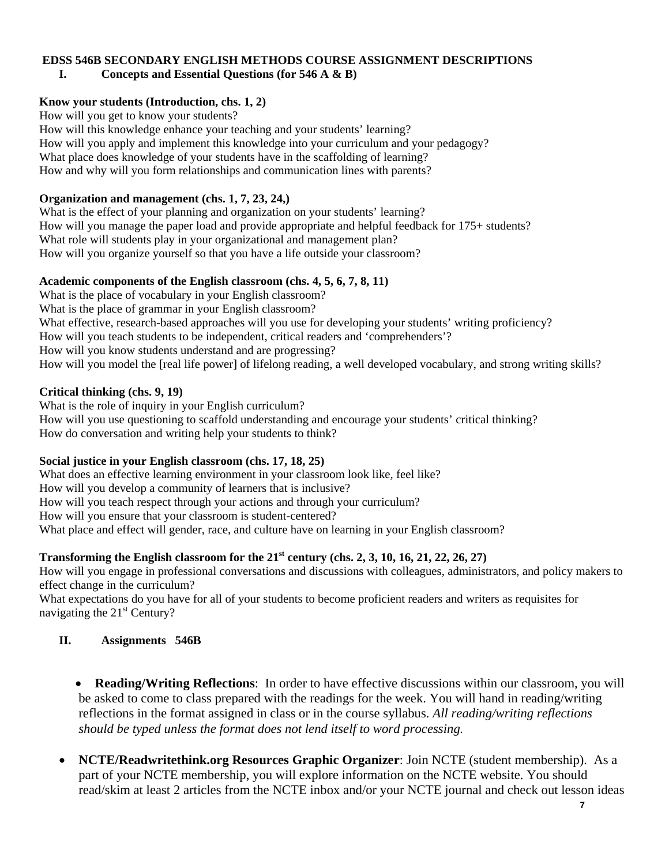#### **EDSS 546B SECONDARY ENGLISH METHODS COURSE ASSIGNMENT DESCRIPTIONS I. Concepts and Essential Questions (for 546 A & B)**

## **Know your students (Introduction, chs. 1, 2)**

How will you get to know your students?

How will this knowledge enhance your teaching and your students' learning? How will you apply and implement this knowledge into your curriculum and your pedagogy? What place does knowledge of your students have in the scaffolding of learning? How and why will you form relationships and communication lines with parents?

## **Organization and management (chs. 1, 7, 23, 24,)**

What is the effect of your planning and organization on your students' learning? How will you manage the paper load and provide appropriate and helpful feedback for 175+ students? What role will students play in your organizational and management plan? How will you organize yourself so that you have a life outside your classroom?

## **Academic components of the English classroom (chs. 4, 5, 6, 7, 8, 11)**

 What is the place of vocabulary in your English classroom? What is the place of grammar in your English classroom? What effective, research-based approaches will you use for developing your students' writing proficiency? How will you teach students to be independent, critical readers and 'comprehenders'? How will you know students understand and are progressing? How will you model the [real life power] of lifelong reading, a well developed vocabulary, and strong writing skills?

## **Critical thinking (chs. 9, 19)**

What is the role of inquiry in your English curriculum? How will you use questioning to scaffold understanding and encourage your students' critical thinking? How do conversation and writing help your students to think?

## **Social justice in your English classroom (chs. 17, 18, 25)**

What does an effective learning environment in your classroom look like, feel like? How will you develop a community of learners that is inclusive? How will you teach respect through your actions and through your curriculum? How will you ensure that your classroom is student-centered? What place and effect will gender, race, and culture have on learning in your English classroom?

## **Transforming the English classroom for the 21st century (chs. 2, 3, 10, 16, 21, 22, 26, 27)**

How will you engage in professional conversations and discussions with colleagues, administrators, and policy makers to effect change in the curriculum?

What expectations do you have for all of your students to become proficient readers and writers as requisites for navigating the 21<sup>st</sup> Century?

## **II. Assignments 546B**

 **Reading/Writing Reflections**: In order to have effective discussions within our classroom, you will be asked to come to class prepared with the readings for the week. You will hand in reading/writing reflections in the format assigned in class or in the course syllabus. *All reading/writing reflections should be typed unless the format does not lend itself to word processing.* 

 **NCTE/Readwritethink.org Resources Graphic Organizer**: Join NCTE (student membership). As a part of your NCTE membership, you will explore information on the NCTE website. You should read/skim at least 2 articles from the NCTE inbox and/or your NCTE journal and check out lesson ideas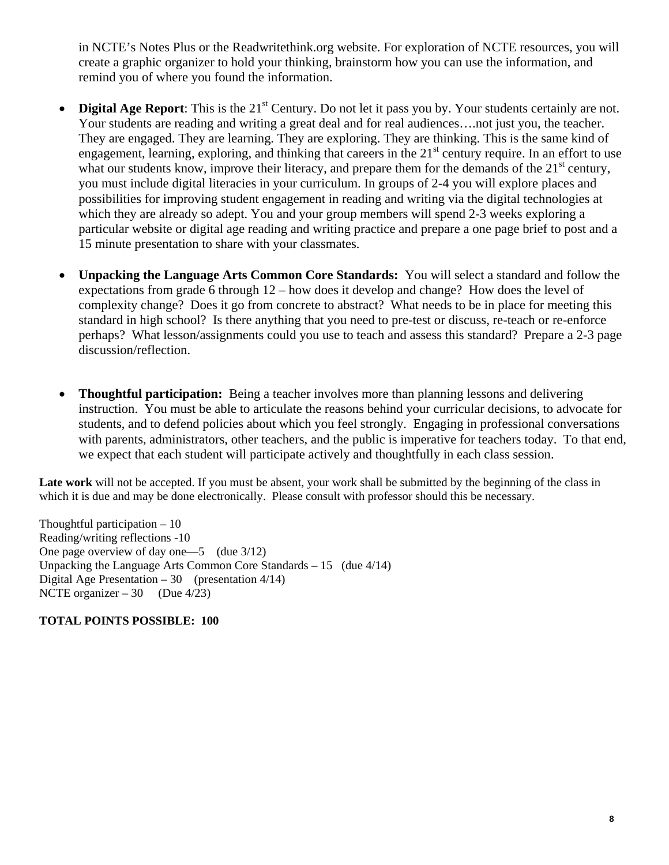in NCTE's Notes Plus or the Readwritethink.org website. For exploration of NCTE resources, you will create a graphic organizer to hold your thinking, brainstorm how you can use the information, and remind you of where you found the information.

- Digital Age Report: This is the 21<sup>st</sup> Century. Do not let it pass you by. Your students certainly are not. Your students are reading and writing a great deal and for real audiences.... not just you, the teacher. They are engaged. They are learning. They are exploring. They are thinking. This is the same kind of engagement, learning, exploring, and thinking that careers in the 21<sup>st</sup> century require. In an effort to use what our students know, improve their literacy, and prepare them for the demands of the  $21<sup>st</sup>$  century, you must include digital literacies in your curriculum. In groups of 2-4 you will explore places and possibilities for improving student engagement in reading and writing via the digital technologies at which they are already so adept. You and your group members will spend 2-3 weeks exploring a particular website or digital age reading and writing practice and prepare a one page brief to post and a 15 minute presentation to share with your classmates.
- expectations from grade 6 through 12 how does it develop and change? How does the level of **Unpacking the Language Arts Common Core Standards:** You will select a standard and follow the complexity change? Does it go from concrete to abstract? What needs to be in place for meeting this standard in high school? Is there anything that you need to pre-test or discuss, re-teach or re-enforce perhaps? What lesson/assignments could you use to teach and assess this standard? Prepare a 2-3 page discussion/reflection.
- **Thoughtful participation:** Being a teacher involves more than planning lessons and delivering instruction. You must be able to articulate the reasons behind your curricular decisions, to advocate for students, and to defend policies about which you feel strongly. Engaging in professional conversations with parents, administrators, other teachers, and the public is imperative for teachers today. To that end, we expect that each student will participate actively and thoughtfully in each class session.

Late work will not be accepted. If you must be absent, your work shall be submitted by the beginning of the class in which it is due and may be done electronically. Please consult with professor should this be necessary.

One page overview of day one—5 (due 3/12) Digital Age Presentation  $-30$  (presentation  $4/14$ ) NCTE organizer  $-30$  (Due  $4/23$ ) Thoughtful participation  $-10$ Reading/writing reflections -10 Unpacking the Language Arts Common Core Standards – 15 (due 4/14)

**TOTAL POINTS POSSIBLE: 100**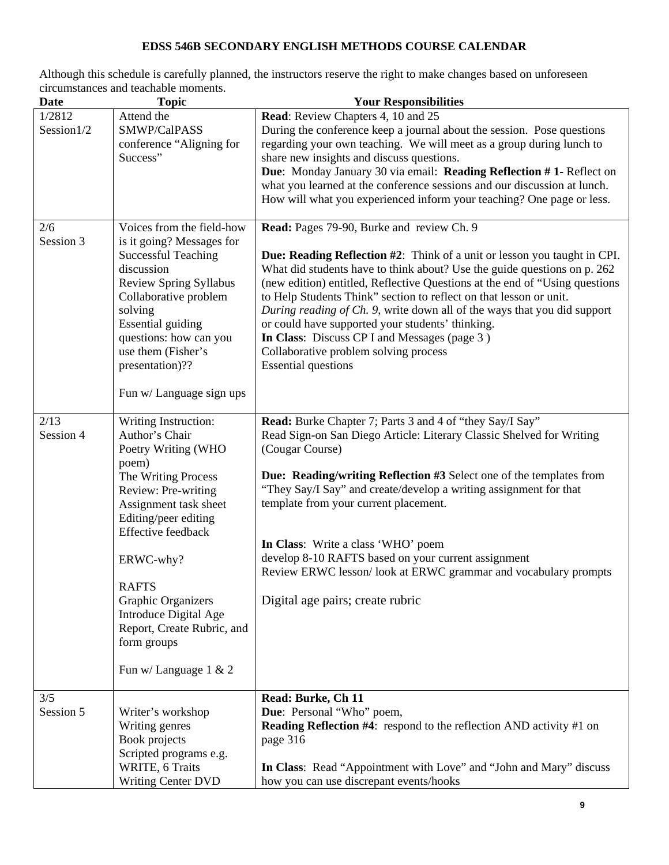## **EDSS 546B SECONDARY ENGLISH METHODS COURSE CALENDAR**

Although this schedule is carefully planned, the instructors reserve the right to make changes based on unforeseen circumstances and teachable moments.

| <b>Date</b>          | <b>Topic</b>                                                                                                                                                                                                                                                                                                                                     | <b>Your Responsibilities</b>                                                                                                                                                                                                                                                                                                                                                                                                                                                                                                                                                                                   |
|----------------------|--------------------------------------------------------------------------------------------------------------------------------------------------------------------------------------------------------------------------------------------------------------------------------------------------------------------------------------------------|----------------------------------------------------------------------------------------------------------------------------------------------------------------------------------------------------------------------------------------------------------------------------------------------------------------------------------------------------------------------------------------------------------------------------------------------------------------------------------------------------------------------------------------------------------------------------------------------------------------|
| 1/2812<br>Session1/2 | Attend the<br>SMWP/CalPASS<br>conference "Aligning for<br>Success"                                                                                                                                                                                                                                                                               | Read: Review Chapters 4, 10 and 25<br>During the conference keep a journal about the session. Pose questions<br>regarding your own teaching. We will meet as a group during lunch to<br>share new insights and discuss questions.<br>Due: Monday January 30 via email: Reading Reflection #1- Reflect on<br>what you learned at the conference sessions and our discussion at lunch.<br>How will what you experienced inform your teaching? One page or less.                                                                                                                                                  |
| 2/6<br>Session 3     | Voices from the field-how<br>is it going? Messages for<br><b>Successful Teaching</b><br>discussion<br>Review Spring Syllabus<br>Collaborative problem<br>solving<br><b>Essential guiding</b><br>questions: how can you<br>use them (Fisher's<br>presentation)??<br>Fun w/ Language sign ups                                                      | Read: Pages 79-90, Burke and review Ch. 9<br>Due: Reading Reflection #2: Think of a unit or lesson you taught in CPI.<br>What did students have to think about? Use the guide questions on p. 262<br>(new edition) entitled, Reflective Questions at the end of "Using questions"<br>to Help Students Think" section to reflect on that lesson or unit.<br>During reading of Ch. 9, write down all of the ways that you did support<br>or could have supported your students' thinking.<br>In Class: Discuss CP I and Messages (page 3)<br>Collaborative problem solving process<br><b>Essential questions</b> |
| 2/13<br>Session 4    | Writing Instruction:<br>Author's Chair<br>Poetry Writing (WHO<br>poem)<br>The Writing Process<br>Review: Pre-writing<br>Assignment task sheet<br>Editing/peer editing<br>Effective feedback<br>ERWC-why?<br><b>RAFTS</b><br>Graphic Organizers<br>Introduce Digital Age<br>Report, Create Rubric, and<br>form groups<br>Fun w/ Language $1 \& 2$ | Read: Burke Chapter 7; Parts 3 and 4 of "they Say/I Say"<br>Read Sign-on San Diego Article: Literary Classic Shelved for Writing<br>(Cougar Course)<br>Due: Reading/writing Reflection #3 Select one of the templates from<br>"They Say/I Say" and create/develop a writing assignment for that<br>template from your current placement.<br>In Class: Write a class 'WHO' poem<br>develop 8-10 RAFTS based on your current assignment<br>Review ERWC lesson/look at ERWC grammar and vocabulary prompts<br>Digital age pairs; create rubric                                                                    |
| 3/5<br>Session 5     | Writer's workshop<br>Writing genres<br>Book projects<br>Scripted programs e.g.<br>WRITE, 6 Traits<br><b>Writing Center DVD</b>                                                                                                                                                                                                                   | Read: Burke, Ch 11<br>Due: Personal "Who" poem,<br>Reading Reflection #4: respond to the reflection AND activity #1 on<br>page 316<br>In Class: Read "Appointment with Love" and "John and Mary" discuss<br>how you can use discrepant events/hooks                                                                                                                                                                                                                                                                                                                                                            |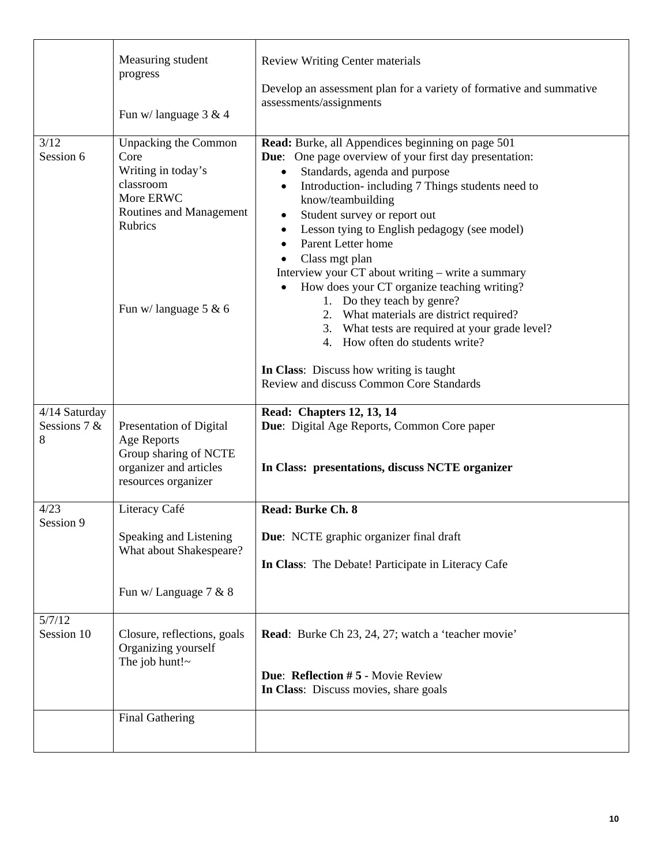|                                                   | Measuring student<br>progress<br>Fun w/language $3 & 4$                                                                                             | <b>Review Writing Center materials</b><br>Develop an assessment plan for a variety of formative and summative<br>assessments/assignments                                                                                                                                                                                                                                                                                                                                                                                                                                                                                                                                                                                                                            |  |
|---------------------------------------------------|-----------------------------------------------------------------------------------------------------------------------------------------------------|---------------------------------------------------------------------------------------------------------------------------------------------------------------------------------------------------------------------------------------------------------------------------------------------------------------------------------------------------------------------------------------------------------------------------------------------------------------------------------------------------------------------------------------------------------------------------------------------------------------------------------------------------------------------------------------------------------------------------------------------------------------------|--|
| 3/12<br>Session 6                                 | Unpacking the Common<br>Core<br>Writing in today's<br>classroom<br>More ERWC<br>Routines and Management<br><b>Rubrics</b><br>Fun w/language $5 & 6$ | Read: Burke, all Appendices beginning on page 501<br><b>Due:</b> One page overview of your first day presentation:<br>Standards, agenda and purpose<br>$\bullet$<br>Introduction-including 7 Things students need to<br>$\bullet$<br>know/teambuilding<br>Student survey or report out<br>$\bullet$<br>Lesson tying to English pedagogy (see model)<br>$\bullet$<br>Parent Letter home<br>Class mgt plan<br>Interview your CT about writing – write a summary<br>How does your CT organize teaching writing?<br>1. Do they teach by genre?<br>2. What materials are district required?<br>3. What tests are required at your grade level?<br>4. How often do students write?<br>In Class: Discuss how writing is taught<br>Review and discuss Common Core Standards |  |
| 4/14 Saturday<br>Sessions $7 &$<br>8              | Presentation of Digital<br><b>Age Reports</b><br>Group sharing of NCTE<br>organizer and articles<br>resources organizer                             | <b>Read: Chapters 12, 13, 14</b><br>Due: Digital Age Reports, Common Core paper<br>In Class: presentations, discuss NCTE organizer                                                                                                                                                                                                                                                                                                                                                                                                                                                                                                                                                                                                                                  |  |
| 4/23<br>Session 9                                 | Literacy Café                                                                                                                                       | <b>Read: Burke Ch. 8</b>                                                                                                                                                                                                                                                                                                                                                                                                                                                                                                                                                                                                                                                                                                                                            |  |
| Speaking and Listening<br>What about Shakespeare? |                                                                                                                                                     | Due: NCTE graphic organizer final draft                                                                                                                                                                                                                                                                                                                                                                                                                                                                                                                                                                                                                                                                                                                             |  |
|                                                   |                                                                                                                                                     | In Class: The Debate! Participate in Literacy Cafe                                                                                                                                                                                                                                                                                                                                                                                                                                                                                                                                                                                                                                                                                                                  |  |
|                                                   | Fun w/ Language 7 & 8                                                                                                                               |                                                                                                                                                                                                                                                                                                                                                                                                                                                                                                                                                                                                                                                                                                                                                                     |  |
| 5/7/12<br>Session 10                              | Closure, reflections, goals<br>Organizing yourself<br>The job hunt! $\sim$                                                                          | <b>Read:</b> Burke Ch 23, 24, 27; watch a 'teacher movie'<br><b>Due: Reflection #5 - Movie Review</b><br>In Class: Discuss movies, share goals                                                                                                                                                                                                                                                                                                                                                                                                                                                                                                                                                                                                                      |  |
|                                                   | <b>Final Gathering</b>                                                                                                                              |                                                                                                                                                                                                                                                                                                                                                                                                                                                                                                                                                                                                                                                                                                                                                                     |  |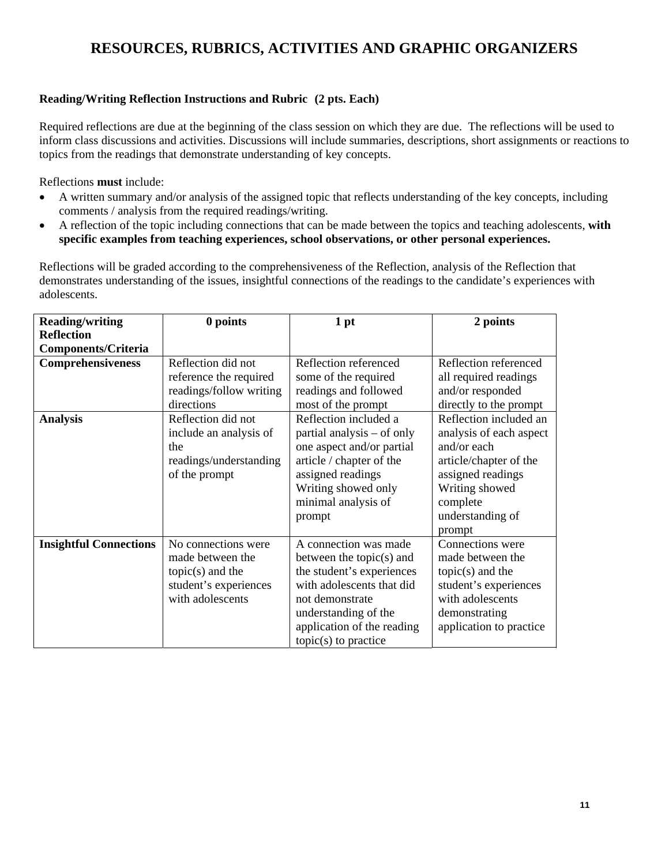# **RESOURCES, RUBRICS, ACTIVITIES AND GRAPHIC ORGANIZERS**

## **Reading/Writing Reflection Instructions and Rubric (2 pts. Each)**

Required reflections are due at the beginning of the class session on which they are due. The reflections will be used to inform class discussions and activities. Discussions will include summaries, descriptions, short assignments or reactions to topics from the readings that demonstrate understanding of key concepts.

Reflections **must** include:

- A written summary and/or analysis of the assigned topic that reflects understanding of the key concepts, including comments / analysis from the required readings/writing.
- A reflection of the topic including connections that can be made between the topics and teaching adolescents, **with specific examples from teaching experiences, school observations, or other personal experiences.**

Reflections will be graded according to the comprehensiveness of the Reflection, analysis of the Reflection that demonstrates understanding of the issues, insightful connections of the readings to the candidate's experiences with adolescents.

| <b>Reading/writing</b>        | 0 points                | 1 pt                        | 2 points                |  |
|-------------------------------|-------------------------|-----------------------------|-------------------------|--|
| <b>Reflection</b>             |                         |                             |                         |  |
| <b>Components/Criteria</b>    |                         |                             |                         |  |
| <b>Comprehensiveness</b>      | Reflection did not      | Reflection referenced       | Reflection referenced   |  |
|                               | reference the required  | some of the required        | all required readings   |  |
|                               | readings/follow writing | readings and followed       | and/or responded        |  |
|                               | directions              | most of the prompt          | directly to the prompt  |  |
| <b>Analysis</b>               | Reflection did not      | Reflection included a       | Reflection included an  |  |
|                               | include an analysis of  | partial analysis – of only  | analysis of each aspect |  |
|                               | the                     | one aspect and/or partial   | and/or each             |  |
|                               | readings/understanding  | article / chapter of the    | article/chapter of the  |  |
|                               | of the prompt           | assigned readings           | assigned readings       |  |
|                               |                         | Writing showed only         | Writing showed          |  |
|                               |                         | minimal analysis of         | complete                |  |
|                               |                         | prompt                      | understanding of        |  |
|                               |                         |                             | prompt                  |  |
| <b>Insightful Connections</b> | No connections were     | A connection was made       | Connections were        |  |
|                               | made between the        | between the topic $(s)$ and | made between the        |  |
|                               | $topic(s)$ and the      | the student's experiences   | $topic(s)$ and the      |  |
|                               | student's experiences   | with adolescents that did   | student's experiences   |  |
|                               | with adolescents        | not demonstrate             | with adolescents        |  |
|                               |                         | understanding of the        | demonstrating           |  |
|                               |                         | application of the reading  | application to practice |  |
|                               |                         | $topic(s)$ to practice      |                         |  |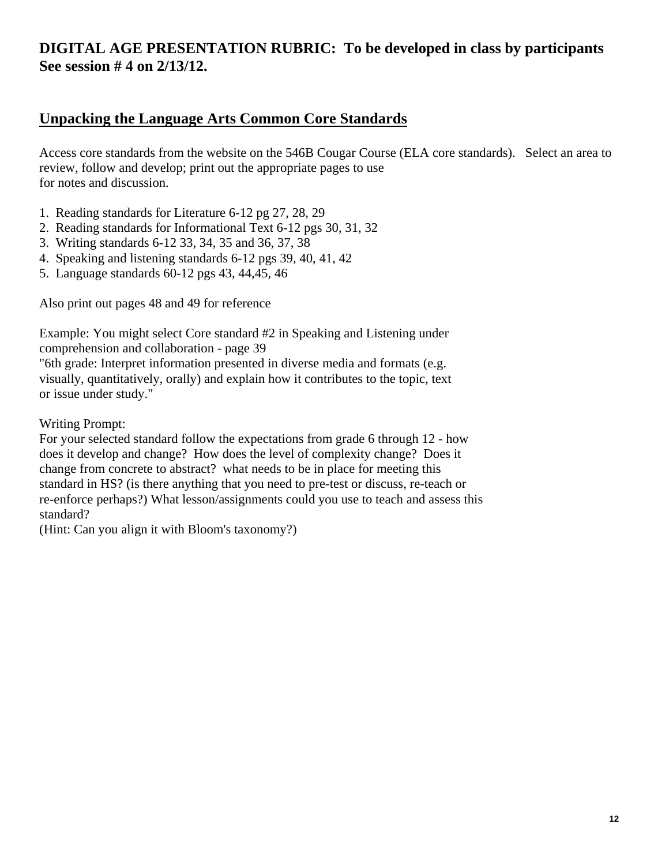# **DIGITAL AGE PRESENTATION RUBRIC: To be developed in class by participants See session # 4 on 2/13/12.**

# **Unpacking the Language Arts Common Core Standards**

Access core standards from the website on the 546B Cougar Course (ELA core standards). Select an area to review, follow and develop; print out the appropriate pages to use for notes and discussion.

- 1. Reading standards for Literature 6-12 pg 27, 28, 29
- 2. Reading standards for Informational Text 6-12 pgs 30, 31, 32
- 3. Writing standards 6-12 33, 34, 35 and 36, 37, 38
- 4. Speaking and listening standards 6-12 pgs 39, 40, 41, 42
- 5. Language standards 60-12 pgs 43, 44,45, 46

Also print out pages 48 and 49 for reference

Example: You might select Core standard #2 in Speaking and Listening under comprehension and collaboration - page 39

"6th grade: Interpret information presented in diverse media and formats (e.g. visually, quantitatively, orally) and explain how it contributes to the topic, text or issue under study."

Writing Prompt:

For your selected standard follow the expectations from grade 6 through 12 - how does it develop and change? How does the level of complexity change? Does it change from concrete to abstract? what needs to be in place for meeting this standard in HS? (is there anything that you need to pre-test or discuss, re-teach or re-enforce perhaps?) What lesson/assignments could you use to teach and assess this standard?

(Hint: Can you align it with Bloom's taxonomy?)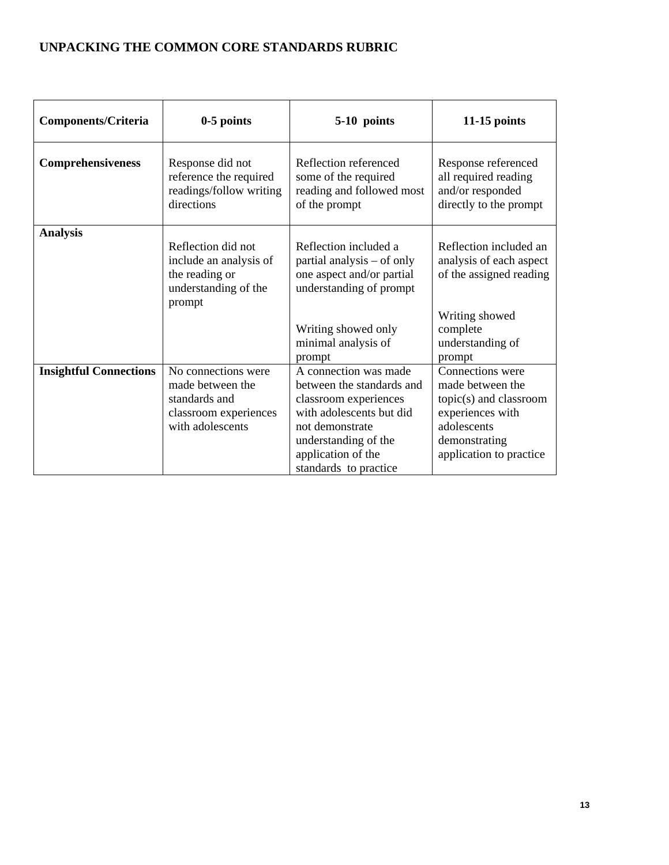# **UNPACKING THE COMMON CORE STANDARDS RUBRIC**

| <b>Components/Criteria</b>    | $0-5$ points                                                                                          | 5-10 points                                                                                                                                                                                       | $11-15$ points                                                                                                                                |
|-------------------------------|-------------------------------------------------------------------------------------------------------|---------------------------------------------------------------------------------------------------------------------------------------------------------------------------------------------------|-----------------------------------------------------------------------------------------------------------------------------------------------|
| Comprehensiveness             | Response did not<br>reference the required<br>readings/follow writing<br>directions                   | Reflection referenced<br>some of the required<br>reading and followed most<br>of the prompt                                                                                                       | Response referenced<br>all required reading<br>and/or responded<br>directly to the prompt                                                     |
| <b>Analysis</b>               | Reflection did not<br>include an analysis of<br>the reading or<br>understanding of the<br>prompt      | Reflection included a<br>partial analysis – of only<br>one aspect and/or partial<br>understanding of prompt<br>Writing showed only<br>minimal analysis of<br>prompt                               | Reflection included an<br>analysis of each aspect<br>of the assigned reading<br>Writing showed<br>complete<br>understanding of<br>prompt      |
| <b>Insightful Connections</b> | No connections were<br>made between the<br>standards and<br>classroom experiences<br>with adolescents | A connection was made<br>between the standards and<br>classroom experiences<br>with adolescents but did<br>not demonstrate<br>understanding of the<br>application of the<br>standards to practice | Connections were<br>made between the<br>topic(s) and classroom<br>experiences with<br>adolescents<br>demonstrating<br>application to practice |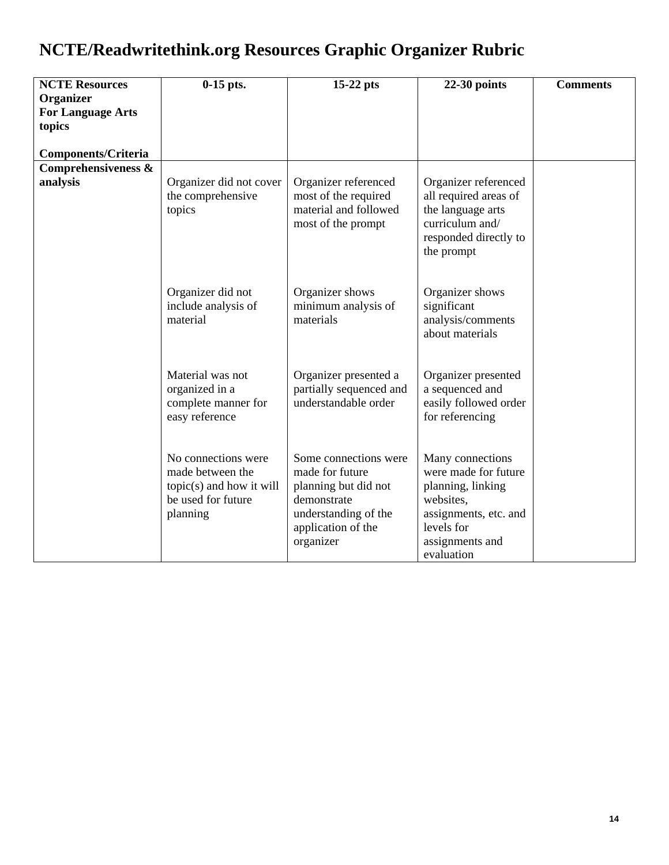# **NCTE/Readwritethink.org Resources Graphic Organizer Rubric**

| <b>NCTE Resources</b>      | $0-15$ pts.                                                                                           | 15-22 pts                                                                                                                                  | $22-30$ points                                                                                                                                     | <b>Comments</b> |
|----------------------------|-------------------------------------------------------------------------------------------------------|--------------------------------------------------------------------------------------------------------------------------------------------|----------------------------------------------------------------------------------------------------------------------------------------------------|-----------------|
| Organizer                  |                                                                                                       |                                                                                                                                            |                                                                                                                                                    |                 |
| <b>For Language Arts</b>   |                                                                                                       |                                                                                                                                            |                                                                                                                                                    |                 |
| topics                     |                                                                                                       |                                                                                                                                            |                                                                                                                                                    |                 |
|                            |                                                                                                       |                                                                                                                                            |                                                                                                                                                    |                 |
| <b>Components/Criteria</b> |                                                                                                       |                                                                                                                                            |                                                                                                                                                    |                 |
| Comprehensiveness &        |                                                                                                       |                                                                                                                                            |                                                                                                                                                    |                 |
| analysis                   | Organizer did not cover<br>the comprehensive<br>topics                                                | Organizer referenced<br>most of the required<br>material and followed<br>most of the prompt                                                | Organizer referenced<br>all required areas of<br>the language arts<br>curriculum and/<br>responded directly to<br>the prompt                       |                 |
|                            | Organizer did not<br>include analysis of<br>material                                                  | Organizer shows<br>minimum analysis of<br>materials                                                                                        | Organizer shows<br>significant<br>analysis/comments<br>about materials                                                                             |                 |
|                            | Material was not<br>organized in a<br>complete manner for<br>easy reference                           | Organizer presented a<br>partially sequenced and<br>understandable order                                                                   | Organizer presented<br>a sequenced and<br>easily followed order<br>for referencing                                                                 |                 |
|                            | No connections were<br>made between the<br>topic(s) and how it will<br>be used for future<br>planning | Some connections were<br>made for future<br>planning but did not<br>demonstrate<br>understanding of the<br>application of the<br>organizer | Many connections<br>were made for future<br>planning, linking<br>websites,<br>assignments, etc. and<br>levels for<br>assignments and<br>evaluation |                 |